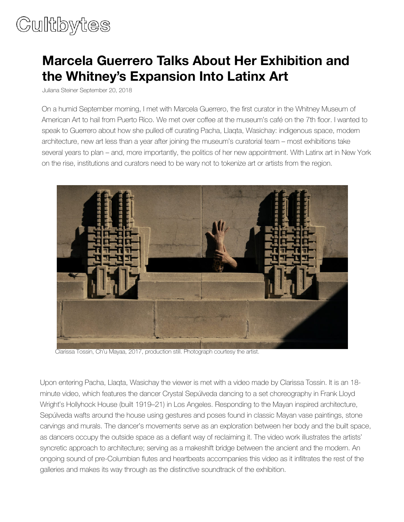## Cultbytes

## **Marcela Guerrero Talks About Her Exhibition and the Whitney's Expansion Into Latinx Art**

Juliana Steiner [September 20, 2018](https://cultbytes.com/author/julianasteiner/)

On a humid September morning, I met with Marcela Guerrero, the first curator in the Whitney Museum of American Art to hail from Puerto Rico. We met over coffee at the museum's café on the 7th floor. I wanted to speak to Guerrero about how she pulled off curating Pacha, Llaqta, Wasichay: indigenous space, modern architecture, new art less than a year after joining the museum's curatorial team – most exhibitions take several years to plan – and, more importantly, the politics of her new appointment. With Latinx art in New York on the rise, institutions and curators need to be wary not to tokenize art or artists from the region.



Clarissa Tossin, Ch'u Mayaa, 2017, production still. Photograph courtesy the artist.

Upon entering Pacha, Llaqta, Wasichay the viewer is met with a video made by Clarissa Tossin. It is an 18 minute video, which features the dancer Crystal Sepúlveda dancing to a set choreography in Frank Lloyd Wright's Hollyhock House (built 1919–21) in Los Angeles. Responding to the Mayan inspired architecture, Sepúlveda wafts around the house using gestures and poses found in classic Mayan vase paintings, stone carvings and murals. The dancer's movements serve as an exploration between her body and the built space, as dancers occupy the outside space as a defiant way of reclaiming it. The video work illustrates the artists' syncretic approach to architecture; serving as a makeshift bridge between the ancient and the modern. An ongoing sound of pre-Columbian flutes and heartbeats accompanies this video as it infiltrates the rest of the galleries and makes its way through as the distinctive soundtrack of the exhibition.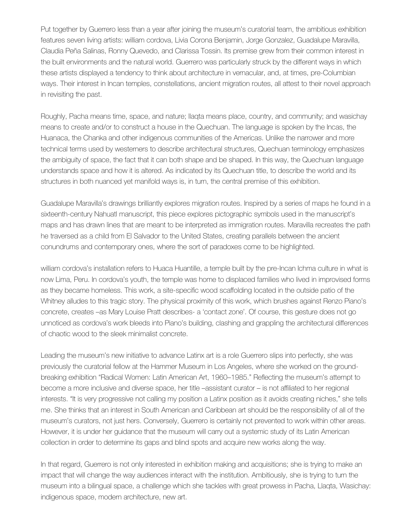Put together by Guerrero less than a year after joining the museum's curatorial team, the ambitious exhibition features seven living artists: william cordova, Livia Corona Benjamin, Jorge Gonzalez, Guadalupe Maravilla, Claudia Peña Salinas, Ronny Quevedo, and Clarissa Tossin. Its premise grew from their common interest in the built environments and the natural world. Guerrero was particularly struck by the different ways in which these artists displayed a tendency to think about architecture in vernacular, and, at times, pre-Columbian ways. Their interest in Incan temples, constellations, ancient migration routes, all attest to their novel approach in revisiting the past.

Roughly, Pacha means time, space, and nature; llaqta means place, country, and community; and wasichay means to create and/or to construct a house in the Quechuan. The language is spoken by the Incas, the Huanaca, the Chanka and other indigenous communities of the Americas. Unlike the narrower and more technical terms used by westerners to describe architectural structures, Quechuan terminology emphasizes the ambiguity of space, the fact that it can both shape and be shaped. In this way, the Quechuan language understands space and how it is altered. As indicated by its Quechuan title, to describe the world and its structures in both nuanced yet manifold ways is, in turn, the central premise of this exhibition.

Guadalupe Maravilla's drawings brilliantly explores migration routes. Inspired by a series of maps he found in a sixteenth-century Nahuatl manuscript, this piece explores pictographic symbols used in the manuscript's maps and has drawn lines that are meant to be interpreted as immigration routes. Maravilla recreates the path he traversed as a child from El Salvador to the United States, creating parallels between the ancient conundrums and contemporary ones, where the sort of paradoxes come to be highlighted.

william cordova's installation refers to Huaca Huantille, a temple built by the pre-Incan Ichma culture in what is now Lima, Peru. In cordova's youth, the temple was home to displaced families who lived in improvised forms as they became homeless. This work, a site-specific wood scaffolding located in the outside patio of the Whitney alludes to this tragic story. The physical proximity of this work, which brushes against Renzo Piano's concrete, creates –as Mary Louise Pratt describes- a 'contact zone'. Of course, this gesture does not go unnoticed as cordova's work bleeds into Piano's building, clashing and grappling the architectural differences of chaotic wood to the sleek minimalist concrete.

Leading the museum's new initiative to advance Latinx art is a role Guerrero slips into perfectly, she was previously the curatorial fellow at the Hammer Museum in Los Angeles, where she worked on the groundbreaking exhibition "Radical Women: Latin American Art, 1960–1985." Reflecting the museum's attempt to become a more inclusive and diverse space, her title –assistant curator – is not affiliated to her regional interests. "It is very progressive not calling my position a Latinx position as it avoids creating niches," she tells me. She thinks that an interest in South American and Caribbean art should be the responsibility of all of the museum's curators, not just hers. Conversely, Guerrero is certainly not prevented to work within other areas. However, it is under her guidance that the museum will carry out a systemic study of its Latin American collection in order to determine its gaps and blind spots and acquire new works along the way.

In that regard, Guerrero is not only interested in exhibition making and acquisitions; she is trying to make an impact that will change the way audiences interact with the institution. Ambitiously, she is trying to turn the museum into a bilingual space, a challenge which she tackles with great prowess in Pacha, Llaqta, Wasichay: indigenous space, modern architecture, new art.